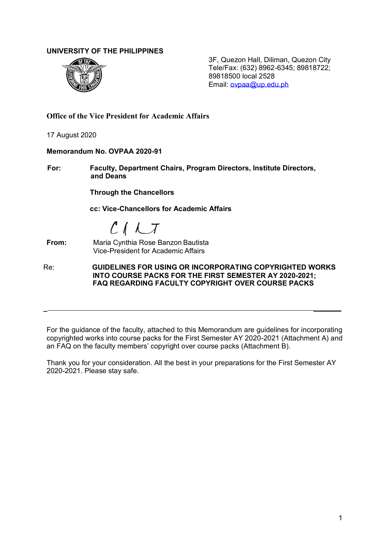## **UNIVERSITY OF THE PHILIPPINES**



3F, Quezon Hall, Diliman, Quezon City Tele/Fax: (632) 8962-6345; 89818722; 89818500 local 2528 Email: ovpaa@up.edu.ph

**Office of the Vice President for Academic Affairs**

17 August 2020

### **Memorandum No. OVPAA 2020-91**

**For: Faculty, Department Chairs, Program Directors, Institute Directors, and Deans**

**Through the Chancellors**

**cc: Vice-Chancellors for Academic Affairs**

 $C$  $I$  $LT$ 

#### **From:** Maria Cynthia Rose Banzon Bautista Vice-President for Academic Affairs

Re: **GUIDELINES FOR USING OR INCORPORATING COPYRIGHTED WORKS INTO COURSE PACKS FOR THE FIRST SEMESTER AY 2020-2021; FAQ REGARDING FACULTY COPYRIGHT OVER COURSE PACKS**

*\_ \_\_\_\_\_\_\_*

For the guidance of the faculty, attached to this Memorandum are guidelines for incorporating copyrighted works into course packs for the First Semester AY 2020-2021 (Attachment A) and an FAQ on the faculty members' copyright over course packs (Attachment B).

Thank you for your consideration. All the best in your preparations for the First Semester AY 2020-2021. Please stay safe.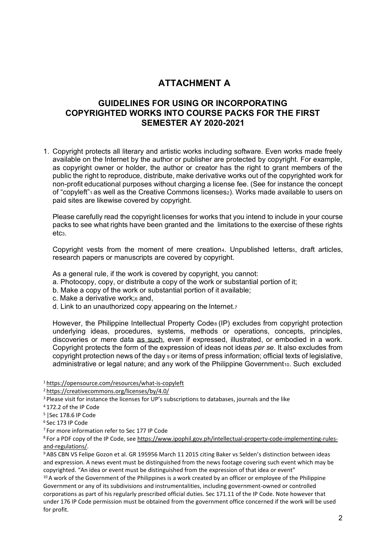# **ATTACHMENT A**

# **GUIDELINES FOR USING OR INCORPORATING COPYRIGHTED WORKS INTO COURSE PACKS FOR THE FIRST SEMESTER AY 2020-2021**

1. Copyright protects all literary and artistic works including software. Even works made freely available on the Internet by the author or publisher are protected by copyright. For example, as copyright owner or holder, the author or creator has the right to grant members of the public the right to reproduce, distribute, make derivative works out of the copyrighted work for non-profit educational purposes without charging a license fee. (See for instance the concept of "copyleft"<sub>1</sub> as well as the Creative Commons licenses<sub>2</sub>). Works made available to users on paid sites are likewise covered by copyright.

Please carefully read the copyright licenses for works that you intend to include in your course packs to see what rights have been granted and the limitations to the exercise of these rights etc3.

Copyright vests from the moment of mere creation<sub>4</sub>. Unpublished letters<sub>5</sub>, draft articles, research papers or manuscripts are covered by copyright.

As a general rule, if the work is covered by copyright, you cannot:

- a. Photocopy, copy, or distribute a copy of the work or substantial portion of it;
- b. Make a copy of the work or substantial portion of it available;
- c. Make a derivative work;<sup>6</sup> and,
- d. Link to an unauthorized copy appearing on the Internet.7

However, the Philippine Intellectual Property Code8 (IP) excludes from copyright protection underlying ideas, procedures, systems, methods or operations, concepts, principles, discoveries or mere data as such, even if expressed, illustrated, or embodied in a work. Copyright protects the form of the expression of ideas not ideas *per se*. It also excludes from copyright protection news of the day <sup>9</sup> or items of press information; official texts of legislative, administrative or legal nature; and any work of the Philippine Government10. Such excluded

1 https://opensource.com/resources/what-is-copyleft

2 https://creativecommons.org/licenses/by/4.0/

<sup>3</sup> Please visit for instance the licenses for UP's subscriptions to databases, journals and the like

- 4 172.2 of the IP Code
- 5 |Sec 178.6 IP Code
- 6 Sec 173 IP Code

7 For more information refer to Sec 177 IP Code

<sup>8</sup> For a PDF copy of the IP Code, see https://www.ipophil.gov.ph/intellectual-property-code-implementing-rulesand-regulations/.

<sup>9</sup>ABS CBN VS Felipe Gozon et al. GR 195956 March 11 2015 citing Baker vs Selden's distinction between ideas and expression. A news event must be distinguished from the news footage covering such event which may be copyrighted. "An idea or event must be distinguished from the expression of that idea or event"

<sup>10</sup> A work of the Government of the Philippines is a work created by an officer or employee of the Philippine Government or any of its subdivisions and instrumentalities, including government-owned or controlled corporations as part of his regularly prescribed official duties. Sec 171.11 of the IP Code. Note however that under 176 IP Code permission must be obtained from the government office concerned if the work will be used for profit.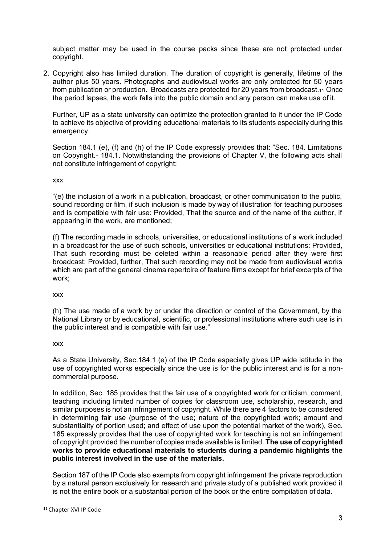subject matter may be used in the course packs since these are not protected under copyright.

2. Copyright also has limited duration. The duration of copyright is generally, lifetime of the author plus 50 years. Photographs and audiovisual works are only protected for 50 years from publication or production. Broadcasts are protected for 20 years from broadcast.11 Once the period lapses, the work falls into the public domain and any person can make use of it.

Further, UP as a state university can optimize the protection granted to it under the IP Code to achieve its objective of providing educational materials to its students especially during this emergency.

Section 184.1 (e), (f) and (h) of the IP Code expressly provides that: "Sec. 184. Limitations on Copyright.- 184.1. Notwithstanding the provisions of Chapter V, the following acts shall not constitute infringement of copyright:

#### xxx

"(e) the inclusion of a work in a publication, broadcast, or other communication to the public, sound recording or film, if such inclusion is made by way of illustration for teaching purposes and is compatible with fair use: Provided, That the source and of the name of the author, if appearing in the work, are mentioned;

(f) The recording made in schools, universities, or educational institutions of a work included in a broadcast for the use of such schools, universities or educational institutions: Provided, That such recording must be deleted within a reasonable period after they were first broadcast: Provided, further, That such recording may not be made from audiovisual works which are part of the general cinema repertoire of feature films except for brief excerpts of the work;

xxx

(h) The use made of a work by or under the direction or control of the Government, by the National Library or by educational, scientific, or professional institutions where such use is in the public interest and is compatible with fair use."

#### xxx

As a State University, Sec.184.1 (e) of the IP Code especially gives UP wide latitude in the use of copyrighted works especially since the use is for the public interest and is for a noncommercial purpose.

In addition, Sec. 185 provides that the fair use of a copyrighted work for criticism, comment, teaching including limited number of copies for classroom use, scholarship, research, and similar purposes is not an infringement of copyright. While there are 4 factors to be considered in determining fair use (purpose of the use; nature of the copyrighted work; amount and substantiality of portion used; and effect of use upon the potential market of the work), Sec. 185 expressly provides that the use of copyrighted work for teaching is not an infringement of copyright provided the number of copies made available is limited. **The use of copyrighted works to provide educational materials to students during a pandemic highlights the public interest involved in the use of the materials.**

Section 187 of the IP Code also exempts from copyright infringement the private reproduction by a natural person exclusively for research and private study of a published work provided it is not the entire book or a substantial portion of the book or the entire compilation of data.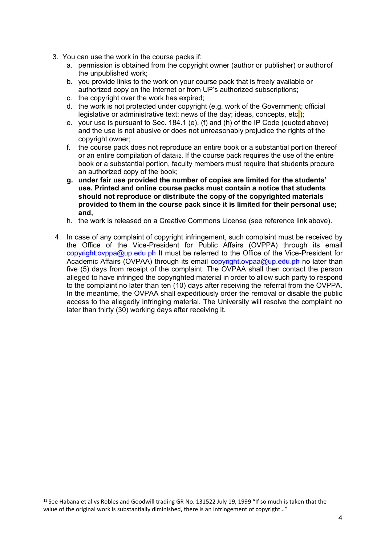- 3. You can use the work in the course packs if:
	- a. permission is obtained from the copyright owner (author or publisher) or authorof the unpublished work;
	- b. you provide links to the work on your course pack that is freely available or authorized copy on the Internet or from UP's authorized subscriptions;
	- c. the copyright over the work has expired;
	- d. the work is not protected under copyright (e.g. work of the Government; official legislative or administrative text; news of the day; ideas, concepts, etc.);
	- e. your use is pursuant to Sec. 184.1 (e), (f) and (h) of the IP Code (quoted above) and the use is not abusive or does not unreasonably prejudice the rights of the copyright owner;
	- f. the course pack does not reproduce an entire book or a substantial portion thereof or an entire compilation of data<sub>12</sub>. If the course pack requires the use of the entire book or a substantial portion, faculty members must require that students procure an authorized copy of the book;
	- **g. under fair use provided the number of copies are limited for the students' use. Printed and online course packs must contain a notice that students should not reproduce or distribute the copy of the copyrighted materials provided to them in the course pack since it is limited for their personal use; and,**
	- h. the work is released on a Creative Commons License (see reference link above).
- 4. In case of any complaint of copyright infringement, such complaint must be received by the Office of the Vice-President for Public Affairs (OVPPA) through its email copyright.ovppa@up.edu.ph It must be referred to the Office of the Vice-President for Academic Affairs (OVPAA) through its email copyright.ovpaa@up.edu.ph no later than five (5) days from receipt of the complaint. The OVPAA shall then contact the person alleged to have infringed the copyrighted material in order to allow such party to respond to the complaint no later than ten (10) days after receiving the referral from the OVPPA. In the meantime, the OVPAA shall expeditiously order the removal or disable the public access to the allegedly infringing material. The University will resolve the complaint no later than thirty (30) working days after receiving it.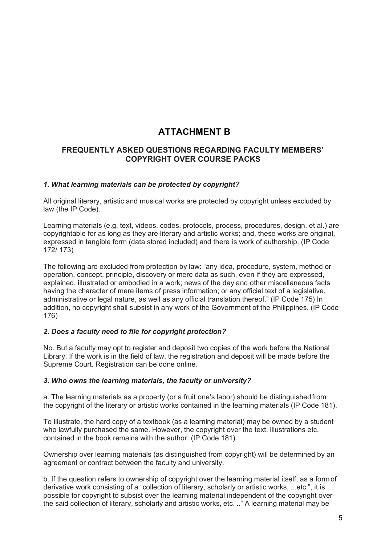# **ATTACHMENT B**

# **FREQUENTLY ASKED QUESTIONS REGARDING FACULTY MEMBERS' COPYRIGHT OVER COURSE PACKS**

## *1. What learning materials can be protected by copyright?*

All original literary, artistic and musical works are protected by copyright unless excluded by law (the IP Code).

Learning materials (e.g. text, videos, codes, protocols, process, procedures, design, et al.) are copyrightable for as long as they are literary and artistic works; and, these works are original, expressed in tangible form (data stored included) and there is work of authorship. (IP Code 172/ 173)

The following are excluded from protection by law: "any idea, procedure, system, method or operation, concept, principle, discovery or mere data as such, even if they are expressed, explained, illustrated or embodied in a work; news of the day and other miscellaneous facts having the character of mere items of press information; or any official text of a legislative, administrative or legal nature, as well as any official translation thereof." (IP Code 175) In addition, no copyright shall subsist in any work of the Government of the Philippines. (IP Code 176)

# *2. Does a faculty need to file for copyright protection?*

No. But a faculty may opt to register and deposit two copies of the work before the National Library. If the work is in the field of law, the registration and deposit will be made before the Supreme Court. Registration can be done online.

## *3. Who owns the learning materials, the faculty or university?*

a. The learning materials as a property (or a fruit one's labor) should be distinguishedfrom the copyright of the literary or artistic works contained in the learning materials (IP Code 181).

To illustrate, the hard copy of a textbook (as a learning material) may be owned by a student who lawfully purchased the same. However, the copyright over the text, illustrations etc. contained in the book remains with the author. (IP Code 181).

Ownership over learning materials (as distinguished from copyright) will be determined by an agreement or contract between the faculty and university.

b. If the question refers to ownership of copyright over the learning material itself, as a form of derivative work consisting of a "collection of literary, scholarly or artistic works, ...etc.", it is possible for copyright to subsist over the learning material independent of the copyright over the said collection of literary, scholarly and artistic works, etc. .." A learning material may be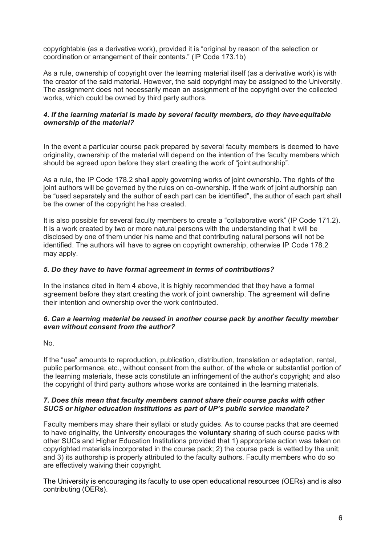copyrightable (as a derivative work), provided it is "original by reason of the selection or coordination or arrangement of their contents." (IP Code 173.1b)

As a rule, ownership of copyright over the learning material itself (as a derivative work) is with the creator of the said material. However, the said copyright may be assigned to the University. The assignment does not necessarily mean an assignment of the copyright over the collected works, which could be owned by third party authors.

## *4. If the learning material is made by several faculty members, do they haveequitable ownership of the material?*

In the event a particular course pack prepared by several faculty members is deemed to have originality, ownership of the material will depend on the intention of the faculty members which should be agreed upon before they start creating the work of "joint authorship".

As a rule, the IP Code 178.2 shall apply governing works of joint ownership. The rights of the joint authors will be governed by the rules on co-ownership. If the work of joint authorship can be "used separately and the author of each part can be identified", the author of each part shall be the owner of the copyright he has created.

It is also possible for several faculty members to create a "collaborative work" (IP Code 171.2). It is a work created by two or more natural persons with the understanding that it will be disclosed by one of them under his name and that contributing natural persons will not be identified. The authors will have to agree on copyright ownership, otherwise IP Code 178.2 may apply.

## *5. Do they have to have formal agreement in terms of contributions?*

In the instance cited in Item 4 above, it is highly recommended that they have a formal agreement before they start creating the work of joint ownership. The agreement will define their intention and ownership over the work contributed.

## *6. Can a learning material be reused in another course pack by another faculty member even without consent from the author?*

No.

If the "use" amounts to reproduction, publication, distribution, translation or adaptation, rental, public performance, etc., without consent from the author, of the whole or substantial portion of the learning materials, these acts constitute an infringement of the author's copyright; and also the copyright of third party authors whose works are contained in the learning materials.

## *7. Does this mean that faculty members cannot share their course packs with other SUCS or higher education institutions as part of UP's public service mandate?*

Faculty members may share their syllabi or study guides. As to course packs that are deemed to have originality, the University encourages the **voluntary** sharing of such course packs with other SUCs and Higher Education Institutions provided that 1) appropriate action was taken on copyrighted materials incorporated in the course pack; 2) the course pack is vetted by the unit; and 3) its authorship is properly attributed to the faculty authors. Faculty members who do so are effectively waiving their copyright.

The University is encouraging its faculty to use open educational resources (OERs) and is also contributing (OERs).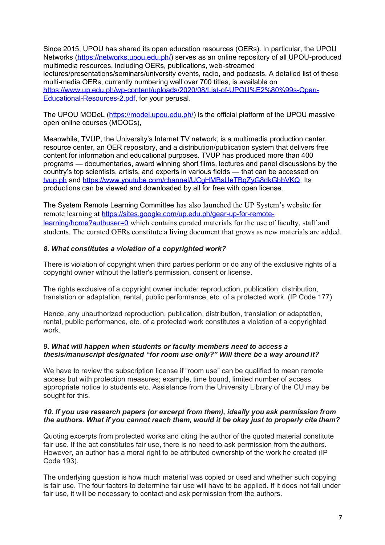Since 2015, UPOU has shared its open education resources (OERs). In particular, the UPOU Networks (https://networks.upou.edu.ph/) serves as an online repository of all UPOU-produced multimedia resources, including OERs, publications, web-streamed lectures/presentations/seminars/university events, radio, and podcasts. A detailed list of these multi-media OERs, currently numbering well over 700 titles, is available on https://www.up.edu.ph/wp-content/uploads/2020/08/List-of-UPOU%E2%80%99s-Open-Educational-Resources-2.pdf, for your perusal.

The UPOU MODeL (https://model.upou.edu.ph/) is the official platform of the UPOU massive open online courses (MOOCs),

Meanwhile, TVUP, the University's Internet TV network, is a multimedia production center, resource center, an OER repository, and a distribution/publication system that delivers free content for information and educational purposes. TVUP has produced more than 400 programs — documentaries, award winning short films, lectures and panel discussions by the country's top scientists, artists, and experts in various fields — that can be accessed on tvup.ph and https://www.youtube.com/channel/UCgHMBsUeTBqZyG8dkGbbVKQ. Its productions can be viewed and downloaded by all for free with open license.

The System Remote Learning Committee has also launched the UP System's website for remote learning at https://sites.google.com/up.edu.ph/gear-up-for-remotelearning/home?authuser=0 which contains curated materials for the use of faculty, staff and students. The curated OERs constitute a living document that grows as new materials are added.

## *8. What constitutes a violation of a copyrighted work?*

There is violation of copyright when third parties perform or do any of the exclusive rights of a copyright owner without the latter's permission, consent or license.

The rights exclusive of a copyright owner include: reproduction, publication, distribution, translation or adaptation, rental, public performance, etc. of a protected work. (IP Code 177)

Hence, any unauthorized reproduction, publication, distribution, translation or adaptation, rental, public performance, etc. of a protected work constitutes a violation of a copyrighted work.

### *9. What will happen when students or faculty members need to access a thesis/manuscript designated "for room use only?" Will there be a way around it?*

We have to review the subscription license if "room use" can be qualified to mean remote access but with protection measures; example, time bound, limited number of access, appropriate notice to students etc. Assistance from the University Library of the CU may be sought for this.

## *10. If you use research papers (or excerpt from them), ideally you ask permission from the authors. What if you cannot reach them, would it be okay just to properly cite them?*

Quoting excerpts from protected works and citing the author of the quoted material constitute fair use. If the act constitutes fair use, there is no need to ask permission from the authors. However, an author has a moral right to be attributed ownership of the work he created (IP Code 193).

The underlying question is how much material was copied or used and whether such copying is fair use. The four factors to determine fair use will have to be applied. If it does not fall under fair use, it will be necessary to contact and ask permission from the authors.